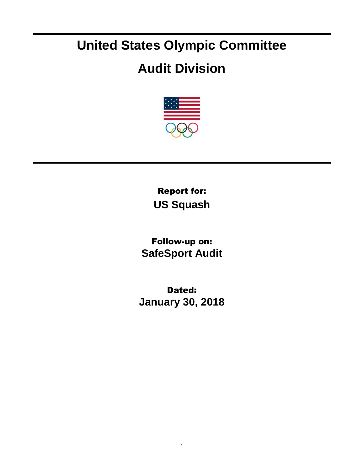## **United States Olympic Committee**

## **Audit Division**



Report for: **US Squash**

Follow-up on: **SafeSport Audit**

Dated: **January 30, 2018**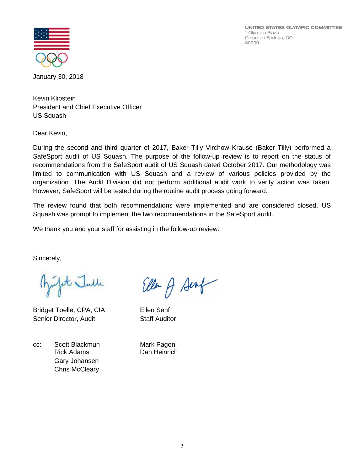UNITED STATES OLYMPIC COMMITTEE 1 Olympic Plaza Colorado Springs, CO 80909



January 30, 2018

Kevin Klipstein President and Chief Executive Officer US Squash

Dear Kevin,

During the second and third quarter of 2017, Baker Tilly Virchow Krause (Baker Tilly) performed a SafeSport audit of US Squash. The purpose of the follow-up review is to report on the status of recommendations from the SafeSport audit of US Squash dated October 2017. Our methodology was limited to communication with US Squash and a review of various policies provided by the organization. The Audit Division did not perform additional audit work to verify action was taken. However, SafeSport will be tested during the routine audit process going forward.

The review found that both recommendations were implemented and are considered closed. US Squash was prompt to implement the two recommendations in the SafeSport audit.

We thank you and your staff for assisting in the follow-up review.

Sincerely,

fit Julle

Bridget Toelle, CPA, CIA Ellen Senf Senior Director, Audit Staff Auditor

cc: Scott Blackmun Mark Pagon Rick Adams Dan Heinrich Gary Johansen Chris McCleary

Ellen of Senf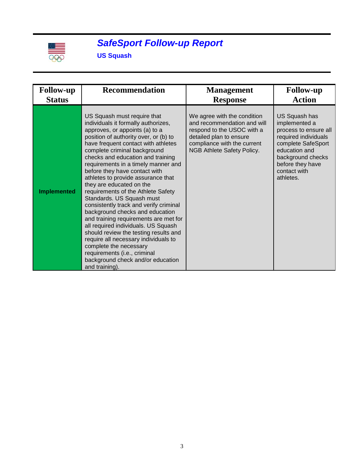

## *SafeSport Follow-up Report*

**US Squash**

| <b>Follow-up</b>   | <b>Recommendation</b>                                                                                                                                                                                                                                                                                                                                                                                                                                                                                                                                                                                                                                                                                                                                                                                                                 | <b>Management</b>                                                                                                                                                                       | <b>Follow-up</b>                                                                                                                                                                             |
|--------------------|---------------------------------------------------------------------------------------------------------------------------------------------------------------------------------------------------------------------------------------------------------------------------------------------------------------------------------------------------------------------------------------------------------------------------------------------------------------------------------------------------------------------------------------------------------------------------------------------------------------------------------------------------------------------------------------------------------------------------------------------------------------------------------------------------------------------------------------|-----------------------------------------------------------------------------------------------------------------------------------------------------------------------------------------|----------------------------------------------------------------------------------------------------------------------------------------------------------------------------------------------|
| <b>Status</b>      |                                                                                                                                                                                                                                                                                                                                                                                                                                                                                                                                                                                                                                                                                                                                                                                                                                       | <b>Response</b>                                                                                                                                                                         | <b>Action</b>                                                                                                                                                                                |
| <b>Implemented</b> | US Squash must require that<br>individuals it formally authorizes,<br>approves, or appoints (a) to a<br>position of authority over, or (b) to<br>have frequent contact with athletes<br>complete criminal background<br>checks and education and training<br>requirements in a timely manner and<br>before they have contact with<br>athletes to provide assurance that<br>they are educated on the<br>requirements of the Athlete Safety<br>Standards. US Squash must<br>consistently track and verify criminal<br>background checks and education<br>and training requirements are met for<br>all required individuals. US Squash<br>should review the testing results and<br>require all necessary individuals to<br>complete the necessary<br>requirements (i.e., criminal<br>background check and/or education<br>and training). | We agree with the condition<br>and recommendation and will<br>respond to the USOC with a<br>detailed plan to ensure<br>compliance with the current<br><b>NGB Athlete Safety Policy.</b> | US Squash has<br>implemented a<br>process to ensure all<br>required individuals<br>complete SafeSport<br>education and<br>background checks<br>before they have<br>contact with<br>athletes. |